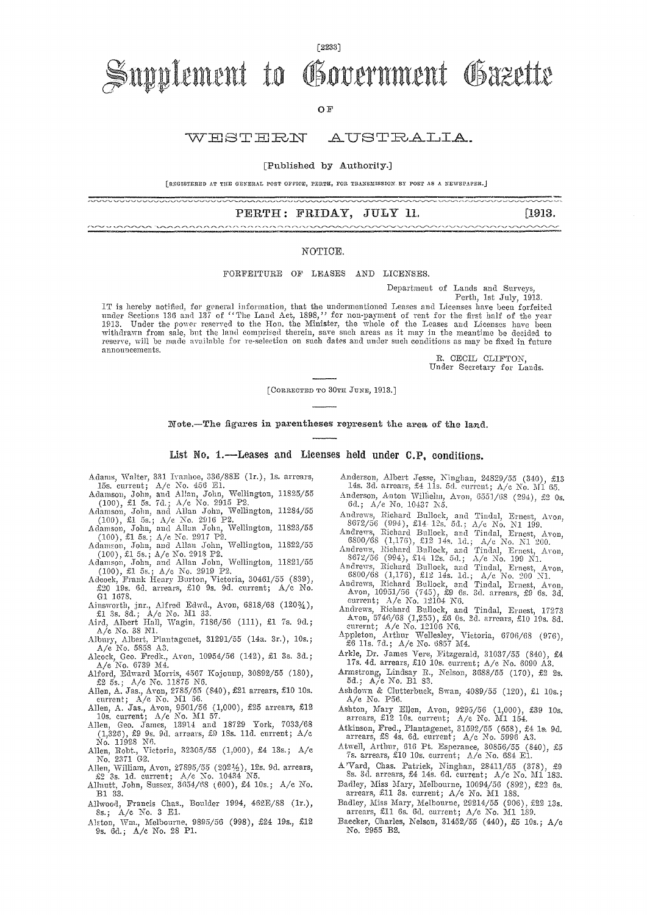# Supplement to Government Gazette

[2233]

OF

#### WESTERN AUSTRALIA.

[Published by Authority.]

[REGISTERED AT THE GENERAL POST OFFICE, PERTH, FOR TRANSMISSION BS POST AS A NEWSPAPER.]

PERTH: FRIDAY, JULY 11. [1913. ,,,,,,,,,,,,,,,,,,,,,,

#### NOTICE.

FORFEITURE OF LEASES AND LICENSES.

Department of Lands and Surveys,

▃▃<del>▁▁▁▁▁▁▁</del><br>**▔▔▔▔▔▔▔▔▔▔▔▔▔** 

Perth, 1st July, 1913. IT is hereby notified, for general information, that the undermentioned Leases and Licenses have been forfeited<br>under Sections 136 and 137 of "The Land Act, 1898," for non-payment of rent for the first half of the year<br>191 reserve, will be made available for re-selection on such dates and under such conditions as may be fixed in future announcements.

> R. CECIL CLIFTON Under Secretary for Lands.

[CORRECTED TO 30TH JUNE, 1913.]

Note.-The figures in parentheses represent the area of the land..

List No. 1.-Leases and Licenses held under C.P. conditions.

Adams, Waiter, 331. Ivanhoe, 336/88E (1r.), ls. arrears,

 $\begin{picture}(150,100) \put(0,0){\vector(1,0){100}} \put(10,0){\vector(1,0){100}} \put(10,0){\vector(1,0){100}} \put(10,0){\vector(1,0){100}} \put(10,0){\vector(1,0){100}} \put(10,0){\vector(1,0){100}} \put(10,0){\vector(1,0){100}} \put(10,0){\vector(1,0){100}} \put(10,0){\vector(1,0){100}} \put(10,0){\vector(1,0){100}} \put(10,0){\vector(1,0){100$ 

- 15s. current; A/c No. 456 E1.<br>Adamson, John, and Allan, John, Wellington, 11825/55<br>(100), £1 5s. 7d.; A/c No. 2915 P2.<br>Adamson, John, and Allan John, Wellington, 11284/55<br>(100), £1 5s.; A/c No. 2916 P2.<br>Adamson, John, and
- 
- (100), :£1 5s.; A/e, No. 2917 P2. Adamson, John, and Allan John, Wellington, 11822/55
- (100), 5s.; A/c No. 2918 P2. Adamson, John, and Allan John, Wellington, 11821/55
- 
- (100), £1 5s.; A/c No. 2919 P2. Adcock, Frank limy Burton, Victoria, 30461/55 (839), ;£20 19s. 63. arrears, £10 9s. 9d. current; A/c No. GA 1678.
- Ainsworth, jnr., Alfred Edwd., Avon, 6818/68 (120%), £1 3s. 8d.; A/c No. M1 33. Aird, Albert Hall, Wagin, 7186/56 (111), £1 Is. 9d.;
- A/c No. 38 N1.<br>Albury, Albert, Plantagenet, 31291/55 (14a. 3r.), 10s.;
- A/c No. 5858 A3.
- Alcock, Geo. Fredk., Avon, 10954/56 (142), £1 3s. 3d.;
- 
- 
- A/c No. 6739 M4.<br>Alford, Edward Morris, 4567 Kojouup, 30892/55 (180),<br>
£2 5s.; A/c No. 11875 N6.<br>
Allen, A. Jas., Avon, 2785/55 (840), £21 arrears, £10 10s.<br>
current; A/c No. N1 56.<br>
Allen, A. Jas., Avon, 9501/56 (1,000),
- (1,326), £9 9s. 9h. arrears, £9 iSs. 11d. current; A/c No 11928 NO.
- Allen, Robt., Victoria, 32305/55 (1,000), £4 13s.; A/c<br>No. 2371 G2.
- Allen, William, Avon, 27895/55 (2021%), 12s. 9d. arrears, £2 3s. 13. current; A/c No. 10434 N5. Alinutt, John, Sussex, 3654/68 (600), £4 10s.; A/c No.
- B1 33.
- Allwood, Francis Chas., Boulder 1994, 462E/88 (1r.), Ss.; A/e No. 3 El.
- Alston, Wm., Melbourne, 9895/56 (998), £24 19s., £12 9s. 6d.; A/c No. 28 PI.
- Anderson, Albert Jesse, Ninghan, 24829/55 (340), £13 14s. 3d. arrears, £4 lls. 5d. current; A/c No. 511 65.
- Anderson, Anton Willielm, Avon, 6551/68 (294), £2 0s.<br>6d.; A/e No. 10437 N5. 6d.; A/c No. 10137 N5.
- Andrews, Richard Bullock, and Tindal, Ernest, Avon, 8672/56 (994), £14. 12s. 5d.; A/c No. N1 199..
- Andrews, Richard Bullock. and Tindal, Ernest, Avon, 6800/68 (1,176), £12 14s. Id.; A/c No. N1 200.
- Andrews, Richard Bullock, and Tindal, Ernest, Avon, 8672/56 (994), £14 12s. 5d.; A/c No. 199 El.
- Andrews, Richard Bullock, and Tindal, Ernest, Avon, 6800/68 (1,176), £12 14s. Id.; A/c No. 200 Nl.
- Andrews, Richard Bullock, and Tindal, Ernest, Avon, 10951/56 (745), £9 6s. 3d. arrears, £9 6s. 3d. current; A/c No. 12104 N6.
- Andrews, Richard Bullock, and Tindal, Ernest, 17273<br>
Avon, 5746/68 (1,255), £6 0s. 2d. arrears, £10 19s. 8d.<br>
eurernt; .4/c No. 12106 NG.<br>
Appleton, Arthur Wellesley, Victoria, 6706/68 (976),<br>
£6 11s. 7d.;  $\Delta$ /c No. 6857
- 
- Arkle, Dr. James Vere, Fitzgerald, 31037/55 (840), Arkle, Dr. James Vere, Fitzgerald, 31037/55 (840), £4<br>17s. 4d. arrears, £10 10s. current; A/c No. 6090 A3.
- Armstrong, Lindsay R., Nelson, 3688/55 (170), £2 2s. 53.; A/c No. B1 S3.
- Ashdown & Clutterbuck, Swan, 4089/55 (120), £1 10s.; A/c No. P56.
- Ashton, Mary Ellen, Avon, 9295/56 (1,000), £39 10s.<br>arrears, £12 10s. current; A/c No. M1 154.
- Atkinson, Fred., Plantagenet, 31592/55 (653), £4 la. 9d. arrears, £3 4s. 6d. current; A/c No. 5996 A3.
- Atwell, Arthur, 616 Pt. Esperance, 30856/55 (840), £5 7s. arrears, £10 10s. current; A/c No. 684 El.
- A'Vard, Chas. Patrick, Ninghan, 28411/55 (378), £9 Ss. 3d. arrears, £4 14s. 63. current; A/c No. M1 183.
- Badley, Miss Mary, Melbourne, 10094/56 (892), £22 6s. arrears, £11 3s. current; A/c No. M1 188.
- Badley, Miss Mary, Melbourne, 29214/55 (906), £22 13s. arrears, £11 6s. 6d. current; A/c No. Ml 139.
- Baecker, Charles, Nelson, 31452/55 (440), £5 10s.; A/c No. 2955 B2.